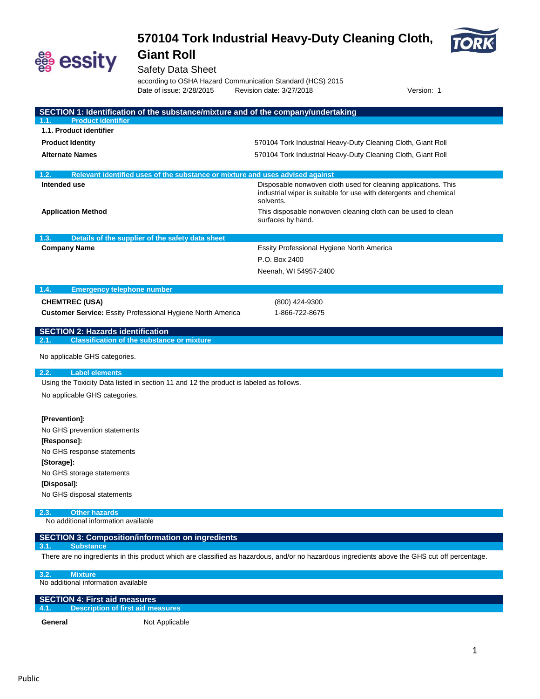



Safety Data Sheet

according to OSHA Hazard Communication Standard (HCS) 2015<br>Date of issue: 2/28/2015 Revision date: 3/27/2018 Revision date: 3/27/2018 **Date:** Version: 1

| SECTION 1: Identification of the substance/mixture and of the company/undertaking                                                             |                                                                                   |  |  |
|-----------------------------------------------------------------------------------------------------------------------------------------------|-----------------------------------------------------------------------------------|--|--|
| <b>Product identifier</b><br>1.1.                                                                                                             |                                                                                   |  |  |
| 1.1. Product identifier                                                                                                                       |                                                                                   |  |  |
| <b>Product Identity</b>                                                                                                                       | 570104 Tork Industrial Heavy-Duty Cleaning Cloth, Giant Roll                      |  |  |
| <b>Alternate Names</b>                                                                                                                        | 570104 Tork Industrial Heavy-Duty Cleaning Cloth, Giant Roll                      |  |  |
| 1.2.                                                                                                                                          |                                                                                   |  |  |
| Relevant identified uses of the substance or mixture and uses advised against<br>Intended use                                                 | Disposable nonwoven cloth used for cleaning applications. This                    |  |  |
|                                                                                                                                               | industrial wiper is suitable for use with detergents and chemical<br>solvents.    |  |  |
| <b>Application Method</b>                                                                                                                     | This disposable nonwoven cleaning cloth can be used to clean<br>surfaces by hand. |  |  |
| 1.3.<br>Details of the supplier of the safety data sheet                                                                                      |                                                                                   |  |  |
| <b>Company Name</b>                                                                                                                           | Essity Professional Hygiene North America                                         |  |  |
|                                                                                                                                               | P.O. Box 2400                                                                     |  |  |
|                                                                                                                                               | Neenah, WI 54957-2400                                                             |  |  |
|                                                                                                                                               |                                                                                   |  |  |
| 1.4.<br><b>Emergency telephone number</b>                                                                                                     |                                                                                   |  |  |
| <b>CHEMTREC (USA)</b>                                                                                                                         | (800) 424-9300                                                                    |  |  |
| Customer Service: Essity Professional Hygiene North America                                                                                   | 1-866-722-8675                                                                    |  |  |
| <b>SECTION 2: Hazards identification</b>                                                                                                      |                                                                                   |  |  |
| 2.1.<br><b>Classification of the substance or mixture</b>                                                                                     |                                                                                   |  |  |
| No applicable GHS categories.                                                                                                                 |                                                                                   |  |  |
| 2.2.<br><b>Label elements</b>                                                                                                                 |                                                                                   |  |  |
| Using the Toxicity Data listed in section 11 and 12 the product is labeled as follows.                                                        |                                                                                   |  |  |
| No applicable GHS categories.                                                                                                                 |                                                                                   |  |  |
| [Prevention]:                                                                                                                                 |                                                                                   |  |  |
| No GHS prevention statements                                                                                                                  |                                                                                   |  |  |
| [Response]:                                                                                                                                   |                                                                                   |  |  |
| No GHS response statements                                                                                                                    |                                                                                   |  |  |
| [Storage]:                                                                                                                                    |                                                                                   |  |  |
| No GHS storage statements                                                                                                                     |                                                                                   |  |  |
| [Disposal]:                                                                                                                                   |                                                                                   |  |  |
| No GHS disposal statements                                                                                                                    |                                                                                   |  |  |
| <b>Other hazards</b><br>2.3.                                                                                                                  |                                                                                   |  |  |
| No additional information available                                                                                                           |                                                                                   |  |  |
| <b>SECTION 3: Composition/information on ingredients</b><br><b>Substance</b><br>3.1                                                           |                                                                                   |  |  |
| There are no ingredients in this product which are classified as hazardous, and/or no hazardous ingredients above the GHS cut off percentage. |                                                                                   |  |  |
| 3.2.<br><b>Mixture</b>                                                                                                                        |                                                                                   |  |  |
| No additional information available                                                                                                           |                                                                                   |  |  |

General Not Applicable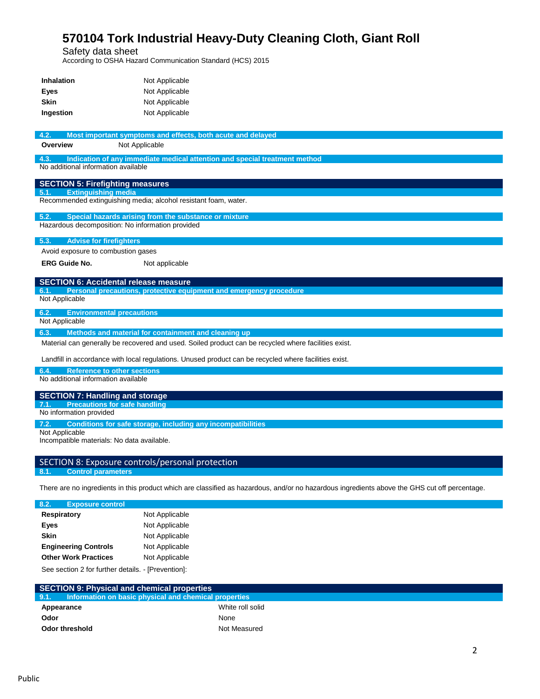Safety data sheet

According to OSHA Hazard Communication Standard (HCS) 2015

| <b>Inhalation</b>                                                                                     | Not Applicable                                                                                       |  |  |
|-------------------------------------------------------------------------------------------------------|------------------------------------------------------------------------------------------------------|--|--|
| Eyes                                                                                                  | Not Applicable                                                                                       |  |  |
| <b>Skin</b>                                                                                           | Not Applicable                                                                                       |  |  |
| Ingestion                                                                                             | Not Applicable                                                                                       |  |  |
|                                                                                                       |                                                                                                      |  |  |
| 4.2.                                                                                                  | Most important symptoms and effects, both acute and delayed                                          |  |  |
| Overview                                                                                              | Not Applicable                                                                                       |  |  |
| 4.3.                                                                                                  | Indication of any immediate medical attention and special treatment method                           |  |  |
|                                                                                                       | No additional information available                                                                  |  |  |
|                                                                                                       | <b>SECTION 5: Firefighting measures</b>                                                              |  |  |
| 5.1.                                                                                                  | <b>Extinguishing media</b>                                                                           |  |  |
|                                                                                                       | Recommended extinguishing media; alcohol resistant foam, water.                                      |  |  |
| 5.2.                                                                                                  | Special hazards arising from the substance or mixture                                                |  |  |
|                                                                                                       | Hazardous decomposition: No information provided                                                     |  |  |
| 5.3.                                                                                                  | <b>Advise for firefighters</b>                                                                       |  |  |
|                                                                                                       | Avoid exposure to combustion gases                                                                   |  |  |
| <b>ERG Guide No.</b>                                                                                  | Not applicable                                                                                       |  |  |
|                                                                                                       |                                                                                                      |  |  |
|                                                                                                       | <b>SECTION 6: Accidental release measure</b>                                                         |  |  |
| 6.1.<br>Not Applicable                                                                                | Personal precautions, protective equipment and emergency procedure                                   |  |  |
|                                                                                                       |                                                                                                      |  |  |
| 6.2.<br>Not Applicable                                                                                | <b>Environmental precautions</b>                                                                     |  |  |
| 6.3.                                                                                                  | Methods and material for containment and cleaning up                                                 |  |  |
|                                                                                                       | Material can generally be recovered and used. Soiled product can be recycled where facilities exist. |  |  |
| Landfill in accordance with local regulations. Unused product can be recycled where facilities exist. |                                                                                                      |  |  |
| <b>Reference to other sections</b><br>6.4.                                                            |                                                                                                      |  |  |
| No additional information available                                                                   |                                                                                                      |  |  |
|                                                                                                       |                                                                                                      |  |  |
| <b>SECTION 7: Handling and storage</b><br><b>Precautions for safe handling</b><br>7.1.                |                                                                                                      |  |  |
| No information provided                                                                               |                                                                                                      |  |  |
| 7.2.<br>Conditions for safe storage, including any incompatibilities                                  |                                                                                                      |  |  |
| Not Applicable                                                                                        |                                                                                                      |  |  |
| Incompatible materials: No data available.                                                            |                                                                                                      |  |  |

# SECTION 8: Exposure controls/personal protection<br>8.1. Control parameters **8.1. Control parameters**

There are no ingredients in this product which are classified as hazardous, and/or no hazardous ingredients above the GHS cut off percentage.

# **8.2. Exposure control**

| <b>Respiratory</b>          | Not Applicable |
|-----------------------------|----------------|
| Eyes                        | Not Applicable |
| Skin                        | Not Applicable |
| <b>Engineering Controls</b> | Not Applicable |
| <b>Other Work Practices</b> | Not Applicable |
|                             |                |

See section 2 for further details. - [Prevention]:

| <b>SECTION 9: Physical and chemical properties</b>            |                  |  |  |
|---------------------------------------------------------------|------------------|--|--|
| Information on basic physical and chemical properties<br>9.1. |                  |  |  |
| Appearance                                                    | White roll solid |  |  |
| Odor                                                          | None             |  |  |
| Odor threshold                                                | Not Measured     |  |  |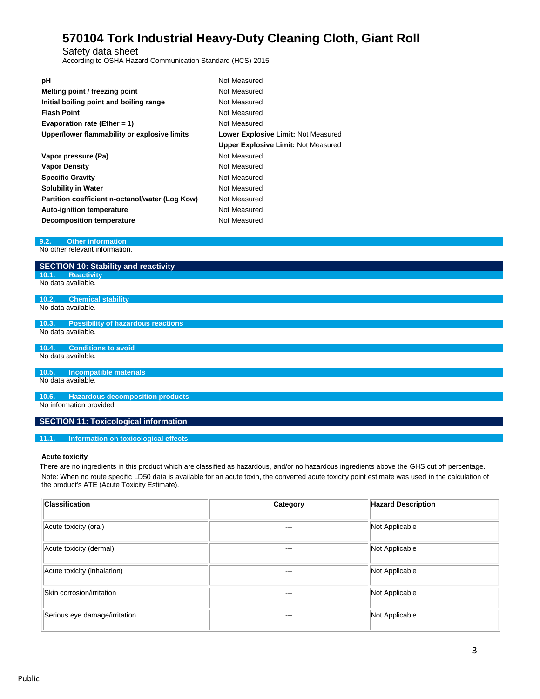Safety data sheet

According to OSHA Hazard Communication Standard (HCS) 2015

| рH                                              | Not Measured                               |
|-------------------------------------------------|--------------------------------------------|
| Melting point / freezing point                  | Not Measured                               |
| Initial boiling point and boiling range         | Not Measured                               |
| <b>Flash Point</b>                              | Not Measured                               |
| Evaporation rate (Ether = 1)                    | Not Measured                               |
| Upper/lower flammability or explosive limits    | <b>Lower Explosive Limit: Not Measured</b> |
|                                                 | <b>Upper Explosive Limit: Not Measured</b> |
| Vapor pressure (Pa)                             | Not Measured                               |
| <b>Vapor Density</b>                            | Not Measured                               |
| <b>Specific Gravity</b>                         | Not Measured                               |
| <b>Solubility in Water</b>                      | Not Measured                               |
| Partition coefficient n-octanol/water (Log Kow) | Not Measured                               |
| <b>Auto-ignition temperature</b>                | Not Measured                               |
| Decomposition temperature                       | Not Measured                               |

### **9.2. Other information**

No other relevant information.

| <b>SECTION 10: Stability and reactivity</b> |
|---------------------------------------------|
| 10.1. Reactivity                            |

No data available.

#### **10.2. Chemical stability** No data available.

**10.3. Possibility of hazardous reactions**

No data available.

**10.4. Conditions to avoid** No data available.

#### **10.5. Incompatible materials**

No data available.

**10.6. Hazardous decomposition products** No information provided

# **SECTION 11: Toxicological information**

## **11.1. Information on toxicological effects**

### **Acute toxicity**

There are no ingredients in this product which are classified as hazardous, and/or no hazardous ingredients above the GHS cut off percentage. Note: When no route specific LD50 data is available for an acute toxin, the converted acute toxicity point estimate was used in the calculation of the product's ATE (Acute Toxicity Estimate).

| <b>Classification</b>         | Category | <b>Hazard Description</b> |
|-------------------------------|----------|---------------------------|
| Acute toxicity (oral)         | ---      | Not Applicable            |
| Acute toxicity (dermal)       | $--$     | Not Applicable            |
| Acute toxicity (inhalation)   | $--$     | Not Applicable            |
| Skin corrosion/irritation     | ---      | Not Applicable            |
| Serious eye damage/irritation | $--$     | Not Applicable            |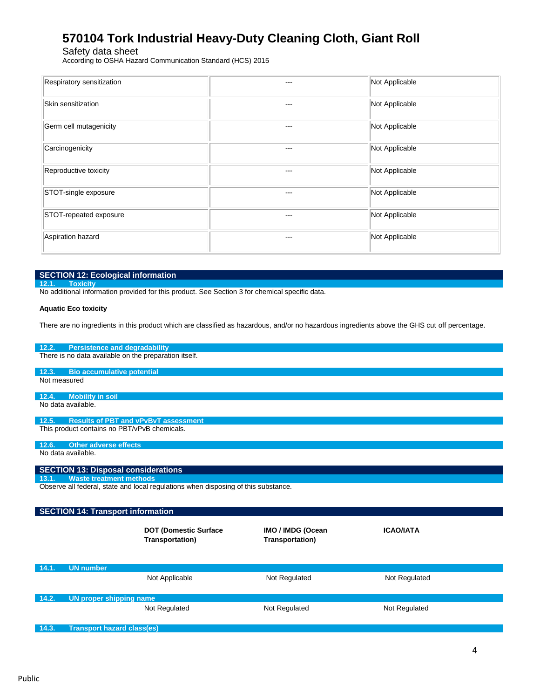Safety data sheet

According to OSHA Hazard Communication Standard (HCS) 2015

| Respiratory sensitization | ---   | Not Applicable |
|---------------------------|-------|----------------|
| Skin sensitization        | ---   | Not Applicable |
| Germ cell mutagenicity    | ---   | Not Applicable |
| Carcinogenicity           | $--$  | Not Applicable |
| Reproductive toxicity     | $---$ | Not Applicable |
| STOT-single exposure      | ---   | Not Applicable |
| STOT-repeated exposure    | $---$ | Not Applicable |
| Aspiration hazard         | $---$ | Not Applicable |

### **SECTION 12: Ecological information**

**12.1. Toxicity**

No additional information provided for this product. See Section 3 for chemical specific data.

#### **Aquatic Eco toxicity**

There are no ingredients in this product which are classified as hazardous, and/or no hazardous ingredients above the GHS cut off percentage.

#### **12.2. Persistence and degradability**

There is no data available on the preparation itself.

# **12.3. Bio accumulative potential**

Not measured

#### **12.4. Mobility in soil** No data available.

**12.5. Results of PBT and vPvBvT assessment**

This product contains no PBT/vPvB chemicals.

#### **12.6. Other adverse effects**

No data available.

# **SECTION 13: Disposal considerations**

**13.1. Waste treatment methods**

Observe all federal, state and local regulations when disposing of this substance.

#### **SECTION 14: Transport information DOT (Domestic Surface Transportation) IMO / IMDG (Ocean Transportation) ICAO/IATA**

| 14.1. | <b>UN number</b>        |               |               |  |
|-------|-------------------------|---------------|---------------|--|
|       | Not Applicable          | Not Regulated | Not Regulated |  |
|       |                         |               |               |  |
| 14.2. | UN proper shipping name |               |               |  |
|       | Not Regulated           | Not Regulated | Not Regulated |  |

# **14.3. Transport hazard class(es)**